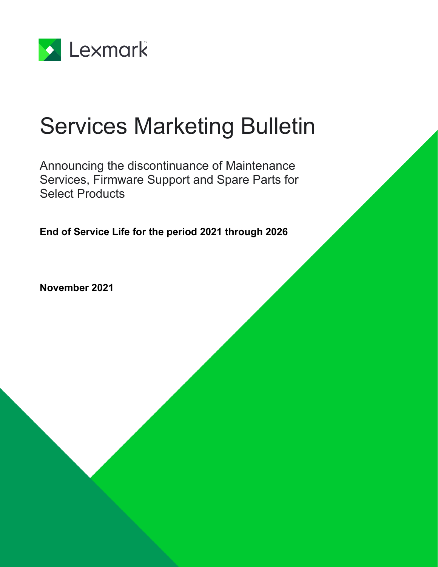

# Services Marketing Bulletin

Announcing the discontinuance of Maintenance Services, Firmware Support and Spare Parts for Select Products

**End of Service Life for the period 2021 through 2026**

**November 2021**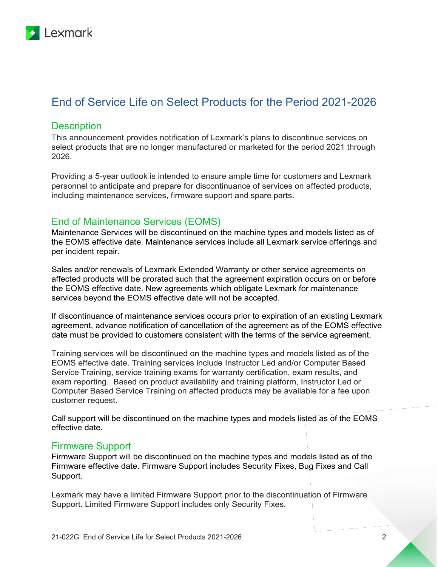

# End of Service Life on Select Products for the Period 2021-2026

#### **Description**

This announcement provides notification of Lexmark's plans to discontinue services on select products that are no longer manufactured or marketed for the period 2021 through 2026.

Providing a 5-year outlook is intended to ensure ample time for customers and Lexmark personnel to anticipate and prepare for discontinuance of services on affected products, including maintenance services, firmware support and spare parts.

## End of Maintenance Services (EOMS)

Maintenance Services will be discontinued on the machine types and models listed as of the EOMS effective date. Maintenance services include all Lexmark service offerings and per incident repair.

Sales and/or renewals of Lexmark Extended Warranty or other service agreements on affected products will be prorated such that the agreement expiration occurs on or before the EOMS effective date. New agreements which obligate Lexmark for maintenance services beyond the EOMS effective date will not be accepted.

If discontinuance of maintenance services occurs prior to expiration of an existing Lexmark agreement, advance notification of cancellation of the agreement as of the EOMS effective date must be provided to customers consistent with the terms of the service agreement.

Training services will be discontinued on the machine types and models listed as of the EOMS effective date. Training services include Instructor Led and/or Computer Based Service Training, service training exams for warranty certification, exam results, and exam reporting. Based on product availability and training platform, Instructor Led or Computer Based Service Training on affected products may be available for a fee upon customer request.

Call support will be discontinued on the machine types and models listed as of the EOMS effective date.

#### Firmware Support

Firmware Support will be discontinued on the machine types and models listed as of the Firmware effective date. Firmware Support includes Security Fixes, Bug Fixes and Call Support.

Lexmark may have a limited Firmware Support prior to the discontinuation of Firmware Support. Limited Firmware Support includes only Security Fixes.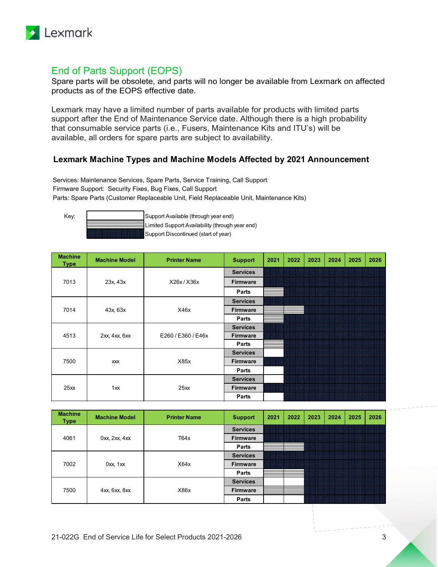

# End of Parts Support (EOPS)

Spare parts will be obsolete, and parts will no longer be available from Lexmark on affected products as of the EOPS effective date.

Lexmark may have a limited number of parts available for products with limited parts support after the End of Maintenance Service date. Although there is a high probability that consumable service parts (i.e., Fusers, Maintenance Kits and ITU's) will be available, all orders for spare parts are subject to availability.

## **Lexmark Machine Types and Machine Models Affected by 2021 Announcement**

Services: Maintenance Services, Spare Parts, Service Training, Call Support Firmware Support: Security Fixes, Bug Fixes, Call Support Parts: Spare Parts (Customer Replaceable Unit, Field Replaceable Unit, Maintenance Kits)

Key:  $\begin{vmatrix} \text{S} \\ \text{S} \end{vmatrix}$  Support Available (through year end) Limited Support Availability (through year end)

Support Discontinued (start of year)

| <b>Machine</b><br><b>Type</b> | <b>Machine Model</b> | <b>Printer Name</b> | <b>Support</b>  | 2021 | 2022 | 2023 | 2024 | 2025 | 2026 |
|-------------------------------|----------------------|---------------------|-----------------|------|------|------|------|------|------|
|                               |                      |                     | <b>Services</b> |      |      |      |      |      |      |
| 7013                          | 23x, 43x             | X26x/X36x           | <b>Firmware</b> |      |      |      |      |      |      |
|                               |                      |                     | Parts           |      |      |      |      |      |      |
|                               |                      |                     | <b>Services</b> |      |      |      |      |      |      |
| 7014                          | 43x, 63x             | X46x                | <b>Firmware</b> |      |      |      |      |      |      |
|                               |                      |                     | Parts           |      |      |      |      |      |      |
|                               |                      |                     | <b>Services</b> |      |      |      |      |      |      |
| 4513                          | 2xx, 4xx, 6xx        | E260 / E360 / E46x  | <b>Firmware</b> |      |      |      |      |      |      |
|                               |                      |                     | Parts           |      |      |      |      |      |      |
|                               |                      |                     | <b>Services</b> |      |      |      |      |      |      |
| 7500                          | XXX                  | X85x                | <b>Firmware</b> |      |      |      |      |      |      |
|                               |                      |                     | Parts           |      |      |      |      |      |      |
| 25xx                          |                      |                     | <b>Services</b> |      |      |      |      |      |      |
|                               | 1xx                  | 25xx                | <b>Firmware</b> |      |      |      |      |      |      |
|                               |                      |                     | Parts           |      |      |      |      |      |      |

| <b>Machine</b><br><b>Type</b> | <b>Machine Model</b>  | <b>Printer Name</b> | <b>Support</b>  | 2021 | 2022 | 2023 | 2024 | 2025 | 2026 |
|-------------------------------|-----------------------|---------------------|-----------------|------|------|------|------|------|------|
| 4061                          |                       | <b>Services</b>     |                 |      |      |      |      |      |      |
|                               | $0xx$ , $2xx$ , $4xx$ | T64x                | <b>Firmware</b> |      |      |      |      |      |      |
|                               |                       |                     | Parts           |      |      |      |      |      |      |
|                               |                       |                     | <b>Services</b> |      |      |      |      |      |      |
| 7002                          | $0xx$ , $1xx$         | X64x                | <b>Firmware</b> |      |      |      |      |      |      |
|                               |                       |                     | Parts           |      |      |      |      |      |      |
| 7500                          |                       |                     | <b>Services</b> |      |      |      |      |      |      |
|                               | 4xx, 6xx, 8xx         | X86x                | <b>Firmware</b> |      |      |      |      |      |      |
|                               |                       |                     | Parts           |      |      |      |      |      |      |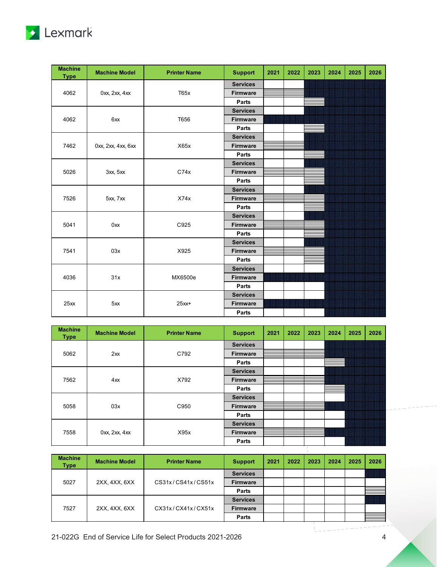

| <b>Machine</b><br><b>Type</b> | <b>Machine Model</b> | <b>Printer Name</b> | <b>Support</b>  | 2021 | 2022 | 2023 | 2024 | 2025 | 2026 |
|-------------------------------|----------------------|---------------------|-----------------|------|------|------|------|------|------|
|                               |                      |                     | <b>Services</b> |      |      |      |      |      |      |
| 4062                          | 0xx, 2xx, 4xx        | T65x                | <b>Firmware</b> |      |      |      |      |      |      |
|                               |                      |                     | Parts           |      |      |      |      |      |      |
|                               |                      |                     | <b>Services</b> |      |      |      |      |      |      |
| 4062                          | 6xx                  | T656                | <b>Firmware</b> |      |      |      |      |      |      |
|                               |                      |                     | Parts           |      |      |      |      |      |      |
|                               |                      |                     | <b>Services</b> |      |      |      |      |      |      |
| 7462                          | 0xx, 2xx, 4xx, 6xx   | X65x                | <b>Firmware</b> |      |      |      |      |      |      |
|                               |                      |                     | Parts           |      |      |      |      |      |      |
| 5026                          |                      |                     | <b>Services</b> |      |      |      |      |      |      |
|                               | 3xx, 5xx             | C74x                | <b>Firmware</b> |      |      |      |      |      |      |
|                               |                      |                     | Parts           |      |      |      |      |      |      |
|                               |                      |                     | <b>Services</b> |      |      |      |      |      |      |
| 7526                          | 5xx, 7xx             | X74x                | Firmware        |      |      |      |      |      |      |
|                               |                      |                     | Parts           |      |      |      |      |      |      |
|                               |                      |                     | <b>Services</b> |      |      |      |      |      |      |
| 5041                          | 0xx                  | C925                | Firmware        |      |      |      |      |      |      |
|                               |                      |                     | Parts           |      |      |      |      |      |      |
|                               |                      |                     | <b>Services</b> |      |      |      |      |      |      |
| 7541                          | 03x                  | X925                | <b>Firmware</b> |      |      |      |      |      |      |
|                               |                      |                     | Parts           |      |      |      |      |      |      |
|                               |                      |                     | <b>Services</b> |      |      |      |      |      |      |
| 4036                          | 31x                  | MX6500e             | <b>Firmware</b> |      |      |      |      |      |      |
|                               |                      |                     | Parts           |      |      |      |      |      |      |
|                               |                      |                     | <b>Services</b> |      |      |      |      |      |      |
| 25xx                          | 5xx                  | $25xx+$             | <b>Firmware</b> |      |      |      |      |      |      |
|                               |                      |                     | Parts           |      |      |      |      |      |      |

| <b>Machine</b><br><b>Type</b> | <b>Machine Model</b> | <b>Printer Name</b> | <b>Support</b>  | 2021 | 2022 | 2023 | 2024 | 2025 | 2026 |
|-------------------------------|----------------------|---------------------|-----------------|------|------|------|------|------|------|
|                               |                      |                     | <b>Services</b> |      |      |      |      |      |      |
| 5062                          | $2x^2$               | C792                | <b>Firmware</b> |      |      |      |      |      |      |
|                               |                      |                     | Parts           |      |      |      |      |      |      |
| 7562                          |                      |                     | <b>Services</b> |      |      |      |      |      |      |
|                               | 4xx                  | X792                | <b>Firmware</b> |      |      |      |      |      |      |
|                               |                      |                     | Parts           |      |      |      |      |      |      |
|                               |                      |                     | <b>Services</b> |      |      |      |      |      |      |
| 5058                          | 03x                  | C950                | <b>Firmware</b> |      |      |      |      |      |      |
|                               |                      |                     | Parts           |      |      |      |      |      |      |
| 7558                          |                      |                     | <b>Services</b> |      |      |      |      |      |      |
|                               | 0xx, 2xx, 4xx        | X95x                | <b>Firmware</b> |      |      |      |      |      |      |
|                               |                      |                     | Parts           |      |      |      |      |      |      |

| <b>Machine</b><br>Type | <b>Machine Model</b> | <b>Printer Name</b> | <b>Support</b>  | 2021 | 2022 | 2023 | 2024 | 2025 | 2026 |
|------------------------|----------------------|---------------------|-----------------|------|------|------|------|------|------|
| 5027                   |                      |                     | <b>Services</b> |      |      |      |      |      |      |
|                        | 2XX, 4XX, 6XX        | CS31x/CS41x/CS51x   | <b>Firmware</b> |      |      |      |      |      |      |
|                        |                      |                     | Parts           |      |      |      |      |      |      |
| 7527                   |                      |                     | <b>Services</b> |      |      |      |      |      |      |
|                        | 2XX, 4XX, 6XX        | CX31x/CX41x/CX51x   | <b>Firmware</b> |      |      |      |      |      |      |
|                        |                      |                     | Parts           |      |      |      |      |      |      |

Т